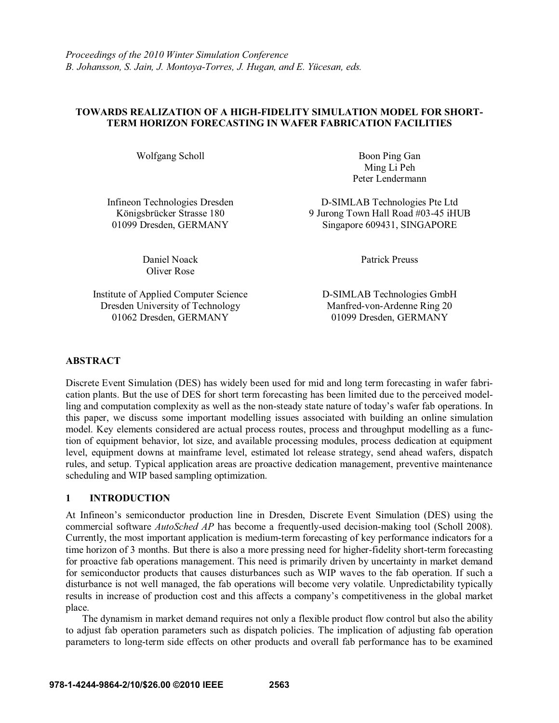### **TOWARDS REALIZATION OF A HIGH-FIDELITY SIMULATION MODEL FOR SHORT-TERM HORIZON FORECASTING IN WAFER FABRICATION FACILITIES**

Wolfgang Scholl Boon Ping Gan Ming Li Peh Peter Lendermann

Daniel Noack Oliver Rose

Institute of Applied Computer Science D-SIMLAB Technologies GmbH Dresden University of Technology Manfred-von-Ardenne Ring 20 01062 Dresden, GERMANY 01099 Dresden, GERMANY

Infineon Technologies Dresden D-SIMLAB Technologies Pte Ltd Königsbrücker Strasse 180 9 Jurong Town Hall Road #03-45 iHUB 01099 Dresden, GERMANY Singapore 609431, SINGAPORE

Patrick Preuss

#### **ABSTRACT**

Discrete Event Simulation (DES) has widely been used for mid and long term forecasting in wafer fabrication plants. But the use of DES for short term forecasting has been limited due to the perceived modelling and computation complexity as well as the non-steady state nature of today's wafer fab operations. In this paper, we discuss some important modelling issues associated with building an online simulation model. Key elements considered are actual process routes, process and throughput modelling as a function of equipment behavior, lot size, and available processing modules, process dedication at equipment level, equipment downs at mainframe level, estimated lot release strategy, send ahead wafers, dispatch rules, and setup. Typical application areas are proactive dedication management, preventive maintenance scheduling and WIP based sampling optimization.

#### **1 INTRODUCTION**

At Infineon's semiconductor production line in Dresden, Discrete Event Simulation (DES) using the commercial software *AutoSched AP* has become a frequently-used decision-making tool (Scholl 2008). Currently, the most important application is medium-term forecasting of key performance indicators for a time horizon of 3 months. But there is also a more pressing need for higher-fidelity short-term forecasting for proactive fab operations management. This need is primarily driven by uncertainty in market demand for semiconductor products that causes disturbances such as WIP waves to the fab operation. If such a disturbance is not well managed, the fab operations will become very volatile. Unpredictability typically results in increase of production cost and this affects a company's competitiveness in the global market place.

The dynamism in market demand requires not only a flexible product flow control but also the ability to adjust fab operation parameters such as dispatch policies. The implication of adjusting fab operation parameters to long-term side effects on other products and overall fab performance has to be examined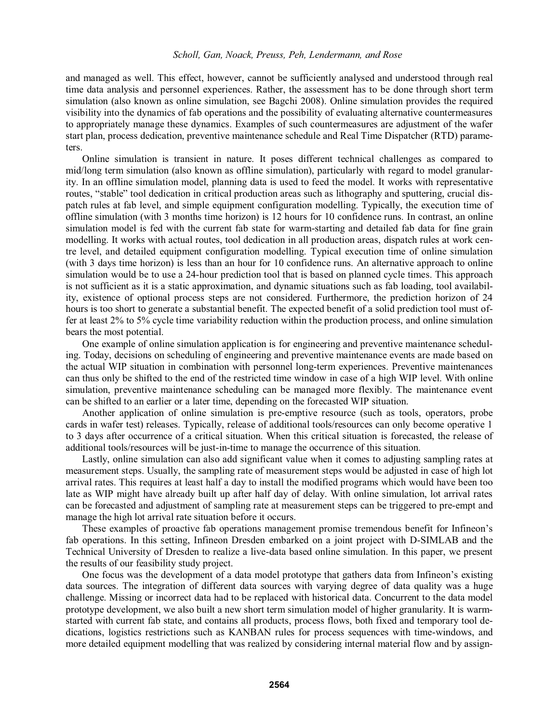and managed as well. This effect, however, cannot be sufficiently analysed and understood through real time data analysis and personnel experiences. Rather, the assessment has to be done through short term simulation (also known as online simulation, see Bagchi 2008). Online simulation provides the required visibility into the dynamics of fab operations and the possibility of evaluating alternative countermeasures to appropriately manage these dynamics. Examples of such countermeasures are adjustment of the wafer start plan, process dedication, preventive maintenance schedule and Real Time Dispatcher (RTD) parameters.

Online simulation is transient in nature. It poses different technical challenges as compared to mid/long term simulation (also known as offline simulation), particularly with regard to model granularity. In an offline simulation model, planning data is used to feed the model. It works with representative routes, "stable" tool dedication in critical production areas such as lithography and sputtering, crucial dispatch rules at fab level, and simple equipment configuration modelling. Typically, the execution time of offline simulation (with 3 months time horizon) is 12 hours for 10 confidence runs. In contrast, an online simulation model is fed with the current fab state for warm-starting and detailed fab data for fine grain modelling. It works with actual routes, tool dedication in all production areas, dispatch rules at work centre level, and detailed equipment configuration modelling. Typical execution time of online simulation (with 3 days time horizon) is less than an hour for 10 confidence runs. An alternative approach to online simulation would be to use a 24-hour prediction tool that is based on planned cycle times. This approach is not sufficient as it is a static approximation, and dynamic situations such as fab loading, tool availability, existence of optional process steps are not considered. Furthermore, the prediction horizon of 24 hours is too short to generate a substantial benefit. The expected benefit of a solid prediction tool must offer at least 2% to 5% cycle time variability reduction within the production process, and online simulation bears the most potential.

One example of online simulation application is for engineering and preventive maintenance scheduling. Today, decisions on scheduling of engineering and preventive maintenance events are made based on the actual WIP situation in combination with personnel long-term experiences. Preventive maintenances can thus only be shifted to the end of the restricted time window in case of a high WIP level. With online simulation, preventive maintenance scheduling can be managed more flexibly. The maintenance event can be shifted to an earlier or a later time, depending on the forecasted WIP situation.

Another application of online simulation is pre-emptive resource (such as tools, operators, probe cards in wafer test) releases. Typically, release of additional tools/resources can only become operative 1 to 3 days after occurrence of a critical situation. When this critical situation is forecasted, the release of additional tools/resources will be just-in-time to manage the occurrence of this situation.

Lastly, online simulation can also add significant value when it comes to adjusting sampling rates at measurement steps. Usually, the sampling rate of measurement steps would be adjusted in case of high lot arrival rates. This requires at least half a day to install the modified programs which would have been too late as WIP might have already built up after half day of delay. With online simulation, lot arrival rates can be forecasted and adjustment of sampling rate at measurement steps can be triggered to pre-empt and manage the high lot arrival rate situation before it occurs.

These examples of proactive fab operations management promise tremendous benefit for Infineon's fab operations. In this setting, Infineon Dresden embarked on a joint project with D-SIMLAB and the Technical University of Dresden to realize a live-data based online simulation. In this paper, we present the results of our feasibility study project.

One focus was the development of a data model prototype that gathers data from Infineon's existing data sources. The integration of different data sources with varying degree of data quality was a huge challenge. Missing or incorrect data had to be replaced with historical data. Concurrent to the data model prototype development, we also built a new short term simulation model of higher granularity. It is warmstarted with current fab state, and contains all products, process flows, both fixed and temporary tool dedications, logistics restrictions such as KANBAN rules for process sequences with time-windows, and more detailed equipment modelling that was realized by considering internal material flow and by assign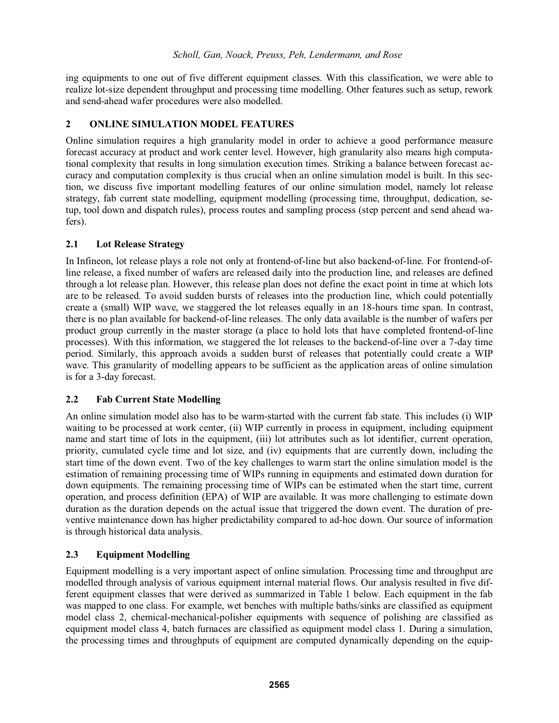ing equipments to one out of five different equipment classes. With this classification, we were able to realize lot-size dependent throughput and processing time modelling. Other features such as setup, rework and send-ahead wafer procedures were also modelled.

## **2 ONLINE SIMULATION MODEL FEATURES**

Online simulation requires a high granularity model in order to achieve a good performance measure forecast accuracy at product and work center level. However, high granularity also means high computational complexity that results in long simulation execution times. Striking a balance between forecast accuracy and computation complexity is thus crucial when an online simulation model is built. In this section, we discuss five important modelling features of our online simulation model, namely lot release strategy, fab current state modelling, equipment modelling (processing time, throughput, dedication, setup, tool down and dispatch rules), process routes and sampling process (step percent and send ahead wafers).

### **2.1 Lot Release Strategy**

In Infineon, lot release plays a role not only at frontend-of-line but also backend-of-line. For frontend-ofline release, a fixed number of wafers are released daily into the production line, and releases are defined through a lot release plan. However, this release plan does not define the exact point in time at which lots are to be released. To avoid sudden bursts of releases into the production line, which could potentially create a (small) WIP wave, we staggered the lot releases equally in an 18-hours time span. In contrast, there is no plan available for backend-of-line releases. The only data available is the number of wafers per product group currently in the master storage (a place to hold lots that have completed frontend-of-line processes). With this information, we staggered the lot releases to the backend-of-line over a 7-day time period. Similarly, this approach avoids a sudden burst of releases that potentially could create a WIP wave. This granularity of modelling appears to be sufficient as the application areas of online simulation is for a 3-day forecast.

### **2.2 Fab Current State Modelling**

An online simulation model also has to be warm-started with the current fab state. This includes (i) WIP waiting to be processed at work center, (ii) WIP currently in process in equipment, including equipment name and start time of lots in the equipment, (iii) lot attributes such as lot identifier, current operation, priority, cumulated cycle time and lot size, and (iv) equipments that are currently down, including the start time of the down event. Two of the key challenges to warm start the online simulation model is the estimation of remaining processing time of WIPs running in equipments and estimated down duration for down equipments. The remaining processing time of WIPs can be estimated when the start time, current operation, and process definition (EPA) of WIP are available. It was more challenging to estimate down duration as the duration depends on the actual issue that triggered the down event. The duration of preventive maintenance down has higher predictability compared to ad-hoc down. Our source of information is through historical data analysis.

### **2.3 Equipment Modelling**

Equipment modelling is a very important aspect of online simulation. Processing time and throughput are modelled through analysis of various equipment internal material flows. Our analysis resulted in five different equipment classes that were derived as summarized in Table 1 below. Each equipment in the fab was mapped to one class. For example, wet benches with multiple baths/sinks are classified as equipment model class 2, chemical-mechanical-polisher equipments with sequence of polishing are classified as equipment model class 4, batch furnaces are classified as equipment model class 1. During a simulation, the processing times and throughputs of equipment are computed dynamically depending on the equip-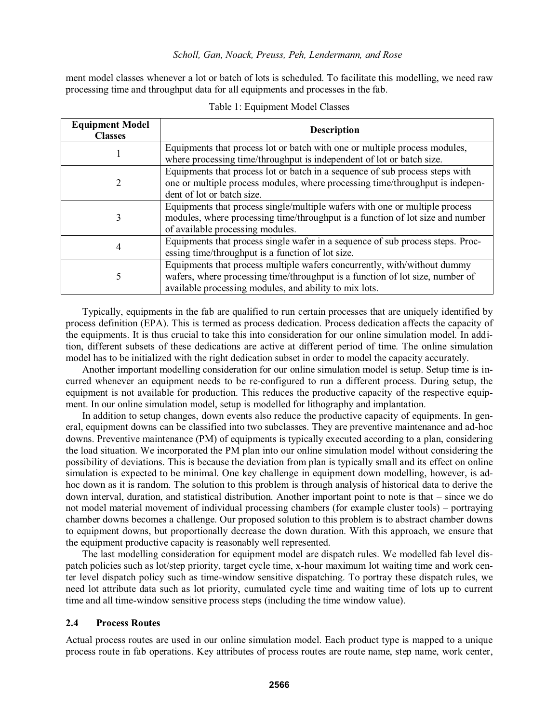ment model classes whenever a lot or batch of lots is scheduled. To facilitate this modelling, we need raw processing time and throughput data for all equipments and processes in the fab.

| <b>Equipment Model</b><br><b>Classes</b> | <b>Description</b>                                                                                                                                                                                                  |
|------------------------------------------|---------------------------------------------------------------------------------------------------------------------------------------------------------------------------------------------------------------------|
|                                          | Equipments that process lot or batch with one or multiple process modules,<br>where processing time/throughput is independent of lot or batch size.                                                                 |
|                                          | Equipments that process lot or batch in a sequence of sub process steps with<br>one or multiple process modules, where processing time/throughput is indepen-<br>dent of lot or batch size.                         |
| 3                                        | Equipments that process single/multiple wafers with one or multiple process<br>modules, where processing time/throughput is a function of lot size and number<br>of available processing modules.                   |
| 4                                        | Equipments that process single wafer in a sequence of sub process steps. Proc-<br>essing time/throughput is a function of lot size.                                                                                 |
| C.                                       | Equipments that process multiple wafers concurrently, with/without dummy<br>wafers, where processing time/throughput is a function of lot size, number of<br>available processing modules, and ability to mix lots. |

Table 1: Equipment Model Classes

Typically, equipments in the fab are qualified to run certain processes that are uniquely identified by process definition (EPA). This is termed as process dedication. Process dedication affects the capacity of the equipments. It is thus crucial to take this into consideration for our online simulation model. In addition, different subsets of these dedications are active at different period of time. The online simulation model has to be initialized with the right dedication subset in order to model the capacity accurately.

Another important modelling consideration for our online simulation model is setup. Setup time is incurred whenever an equipment needs to be re-configured to run a different process. During setup, the equipment is not available for production. This reduces the productive capacity of the respective equipment. In our online simulation model, setup is modelled for lithography and implantation.

In addition to setup changes, down events also reduce the productive capacity of equipments. In general, equipment downs can be classified into two subclasses. They are preventive maintenance and ad-hoc downs. Preventive maintenance (PM) of equipments is typically executed according to a plan, considering the load situation. We incorporated the PM plan into our online simulation model without considering the possibility of deviations. This is because the deviation from plan is typically small and its effect on online simulation is expected to be minimal. One key challenge in equipment down modelling, however, is adhoc down as it is random. The solution to this problem is through analysis of historical data to derive the down interval, duration, and statistical distribution. Another important point to note is that – since we do not model material movement of individual processing chambers (for example cluster tools) – portraying chamber downs becomes a challenge. Our proposed solution to this problem is to abstract chamber downs to equipment downs, but proportionally decrease the down duration. With this approach, we ensure that the equipment productive capacity is reasonably well represented.

The last modelling consideration for equipment model are dispatch rules. We modelled fab level dispatch policies such as lot/step priority, target cycle time, x-hour maximum lot waiting time and work center level dispatch policy such as time-window sensitive dispatching. To portray these dispatch rules, we need lot attribute data such as lot priority, cumulated cycle time and waiting time of lots up to current time and all time-window sensitive process steps (including the time window value).

#### **2.4 Process Routes**

Actual process routes are used in our online simulation model. Each product type is mapped to a unique process route in fab operations. Key attributes of process routes are route name, step name, work center,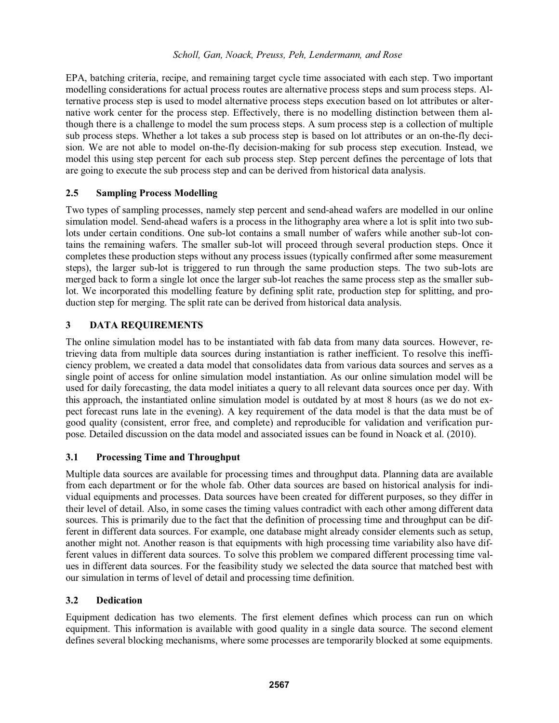EPA, batching criteria, recipe, and remaining target cycle time associated with each step. Two important modelling considerations for actual process routes are alternative process steps and sum process steps. Alternative process step is used to model alternative process steps execution based on lot attributes or alternative work center for the process step. Effectively, there is no modelling distinction between them although there is a challenge to model the sum process steps. A sum process step is a collection of multiple sub process steps. Whether a lot takes a sub process step is based on lot attributes or an on-the-fly decision. We are not able to model on-the-fly decision-making for sub process step execution. Instead, we model this using step percent for each sub process step. Step percent defines the percentage of lots that are going to execute the sub process step and can be derived from historical data analysis.

### **2.5 Sampling Process Modelling**

Two types of sampling processes, namely step percent and send-ahead wafers are modelled in our online simulation model. Send-ahead wafers is a process in the lithography area where a lot is split into two sublots under certain conditions. One sub-lot contains a small number of wafers while another sub-lot contains the remaining wafers. The smaller sub-lot will proceed through several production steps. Once it completes these production steps without any process issues (typically confirmed after some measurement steps), the larger sub-lot is triggered to run through the same production steps. The two sub-lots are merged back to form a single lot once the larger sub-lot reaches the same process step as the smaller sublot. We incorporated this modelling feature by defining split rate, production step for splitting, and production step for merging. The split rate can be derived from historical data analysis.

### **3 DATA REQUIREMENTS**

The online simulation model has to be instantiated with fab data from many data sources. However, retrieving data from multiple data sources during instantiation is rather inefficient. To resolve this inefficiency problem, we created a data model that consolidates data from various data sources and serves as a single point of access for online simulation model instantiation. As our online simulation model will be used for daily forecasting, the data model initiates a query to all relevant data sources once per day. With this approach, the instantiated online simulation model is outdated by at most 8 hours (as we do not expect forecast runs late in the evening). A key requirement of the data model is that the data must be of good quality (consistent, error free, and complete) and reproducible for validation and verification purpose. Detailed discussion on the data model and associated issues can be found in Noack et al. (2010).

### **3.1 Processing Time and Throughput**

Multiple data sources are available for processing times and throughput data. Planning data are available from each department or for the whole fab. Other data sources are based on historical analysis for individual equipments and processes. Data sources have been created for different purposes, so they differ in their level of detail. Also, in some cases the timing values contradict with each other among different data sources. This is primarily due to the fact that the definition of processing time and throughput can be different in different data sources. For example, one database might already consider elements such as setup, another might not. Another reason is that equipments with high processing time variability also have different values in different data sources. To solve this problem we compared different processing time values in different data sources. For the feasibility study we selected the data source that matched best with our simulation in terms of level of detail and processing time definition.

### **3.2 Dedication**

Equipment dedication has two elements. The first element defines which process can run on which equipment. This information is available with good quality in a single data source. The second element defines several blocking mechanisms, where some processes are temporarily blocked at some equipments.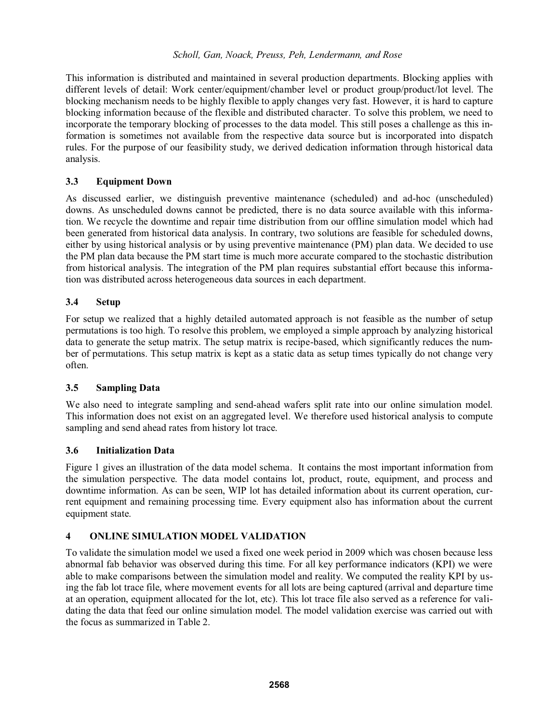This information is distributed and maintained in several production departments. Blocking applies with different levels of detail: Work center/equipment/chamber level or product group/product/lot level. The blocking mechanism needs to be highly flexible to apply changes very fast. However, it is hard to capture blocking information because of the flexible and distributed character. To solve this problem, we need to incorporate the temporary blocking of processes to the data model. This still poses a challenge as this information is sometimes not available from the respective data source but is incorporated into dispatch rules. For the purpose of our feasibility study, we derived dedication information through historical data analysis.

### **3.3 Equipment Down**

As discussed earlier, we distinguish preventive maintenance (scheduled) and ad-hoc (unscheduled) downs. As unscheduled downs cannot be predicted, there is no data source available with this information. We recycle the downtime and repair time distribution from our offline simulation model which had been generated from historical data analysis. In contrary, two solutions are feasible for scheduled downs, either by using historical analysis or by using preventive maintenance (PM) plan data. We decided to use the PM plan data because the PM start time is much more accurate compared to the stochastic distribution from historical analysis. The integration of the PM plan requires substantial effort because this information was distributed across heterogeneous data sources in each department.

### **3.4 Setup**

For setup we realized that a highly detailed automated approach is not feasible as the number of setup permutations is too high. To resolve this problem, we employed a simple approach by analyzing historical data to generate the setup matrix. The setup matrix is recipe-based, which significantly reduces the number of permutations. This setup matrix is kept as a static data as setup times typically do not change very often.

### **3.5 Sampling Data**

We also need to integrate sampling and send-ahead wafers split rate into our online simulation model. This information does not exist on an aggregated level. We therefore used historical analysis to compute sampling and send ahead rates from history lot trace.

### **3.6 Initialization Data**

Figure 1 gives an illustration of the data model schema. It contains the most important information from the simulation perspective. The data model contains lot, product, route, equipment, and process and downtime information. As can be seen, WIP lot has detailed information about its current operation, current equipment and remaining processing time. Every equipment also has information about the current equipment state.

# **4 ONLINE SIMULATION MODEL VALIDATION**

To validate the simulation model we used a fixed one week period in 2009 which was chosen because less abnormal fab behavior was observed during this time. For all key performance indicators (KPI) we were able to make comparisons between the simulation model and reality. We computed the reality KPI by using the fab lot trace file, where movement events for all lots are being captured (arrival and departure time at an operation, equipment allocated for the lot, etc). This lot trace file also served as a reference for validating the data that feed our online simulation model. The model validation exercise was carried out with the focus as summarized in Table 2.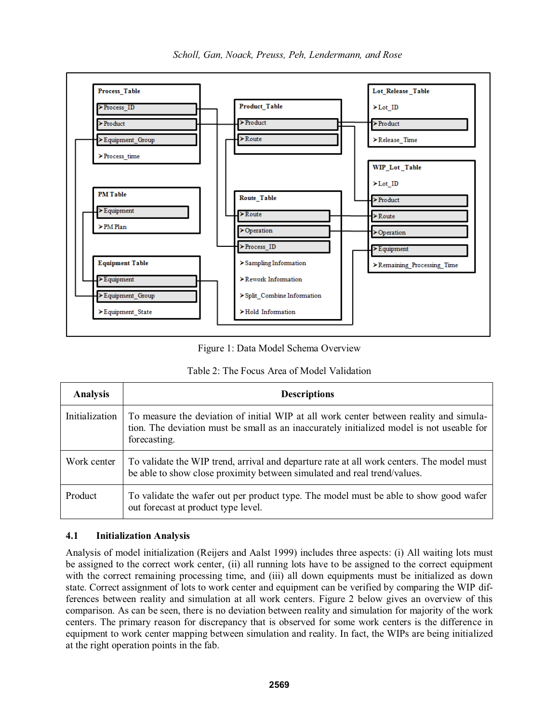

Figure 1: Data Model Schema Overview

| <b>Analysis</b> | <b>Descriptions</b>                                                                                                                                                                                 |
|-----------------|-----------------------------------------------------------------------------------------------------------------------------------------------------------------------------------------------------|
| Initialization  | To measure the deviation of initial WIP at all work center between reality and simula-<br>tion. The deviation must be small as an inaccurately initialized model is not useable for<br>forecasting. |
| Work center     | To validate the WIP trend, arrival and departure rate at all work centers. The model must<br>be able to show close proximity between simulated and real trend/values.                               |
| Product         | To validate the wafer out per product type. The model must be able to show good wafer<br>out forecast at product type level.                                                                        |

### **4.1 Initialization Analysis**

Analysis of model initialization (Reijers and Aalst 1999) includes three aspects: (i) All waiting lots must be assigned to the correct work center, (ii) all running lots have to be assigned to the correct equipment with the correct remaining processing time, and (iii) all down equipments must be initialized as down state. Correct assignment of lots to work center and equipment can be verified by comparing the WIP differences between reality and simulation at all work centers. Figure 2 below gives an overview of this comparison. As can be seen, there is no deviation between reality and simulation for majority of the work centers. The primary reason for discrepancy that is observed for some work centers is the difference in equipment to work center mapping between simulation and reality. In fact, the WIPs are being initialized at the right operation points in the fab.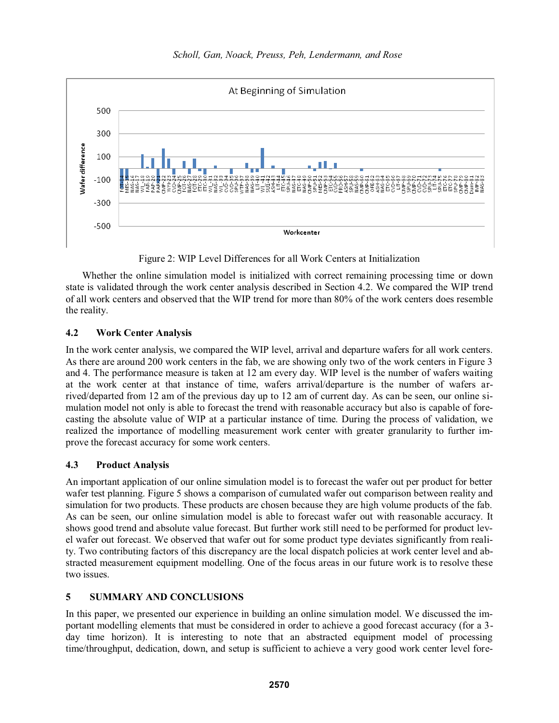

Figure 2: WIP Level Differences for all Work Centers at Initialization

Whether the online simulation model is initialized with correct remaining processing time or down state is validated through the work center analysis described in Section 4.2. We compared the WIP trend of all work centers and observed that the WIP trend for more than 80% of the work centers does resemble the reality.

## **4.2 Work Center Analysis**

In the work center analysis, we compared the WIP level, arrival and departure wafers for all work centers. As there are around 200 work centers in the fab, we are showing only two of the work centers in Figure 3 and 4. The performance measure is taken at 12 am every day. WIP level is the number of wafers waiting at the work center at that instance of time, wafers arrival/departure is the number of wafers arrived/departed from 12 am of the previous day up to 12 am of current day. As can be seen, our online simulation model not only is able to forecast the trend with reasonable accuracy but also is capable of forecasting the absolute value of WIP at a particular instance of time. During the process of validation, we realized the importance of modelling measurement work center with greater granularity to further improve the forecast accuracy for some work centers.

### **4.3 Product Analysis**

An important application of our online simulation model is to forecast the wafer out per product for better wafer test planning. Figure 5 shows a comparison of cumulated wafer out comparison between reality and simulation for two products. These products are chosen because they are high volume products of the fab. As can be seen, our online simulation model is able to forecast wafer out with reasonable accuracy. It shows good trend and absolute value forecast. But further work still need to be performed for product level wafer out forecast. We observed that wafer out for some product type deviates significantly from reality. Two contributing factors of this discrepancy are the local dispatch policies at work center level and abstracted measurement equipment modelling. One of the focus areas in our future work is to resolve these two issues.

# **5 SUMMARY AND CONCLUSIONS**

In this paper, we presented our experience in building an online simulation model. We discussed the important modelling elements that must be considered in order to achieve a good forecast accuracy (for a 3 day time horizon). It is interesting to note that an abstracted equipment model of processing time/throughput, dedication, down, and setup is sufficient to achieve a very good work center level fore-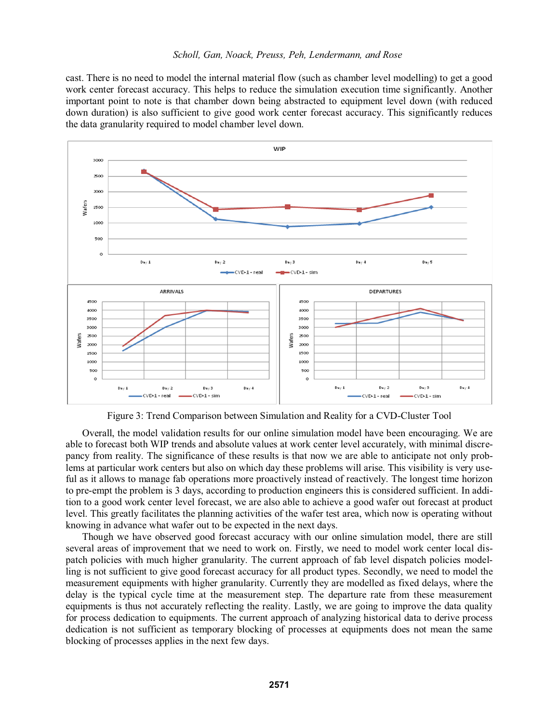cast. There is no need to model the internal material flow (such as chamber level modelling) to get a good work center forecast accuracy. This helps to reduce the simulation execution time significantly. Another important point to note is that chamber down being abstracted to equipment level down (with reduced down duration) is also sufficient to give good work center forecast accuracy. This significantly reduces the data granularity required to model chamber level down.



Figure 3: Trend Comparison between Simulation and Reality for a CVD-Cluster Tool

Overall, the model validation results for our online simulation model have been encouraging. We are able to forecast both WIP trends and absolute values at work center level accurately, with minimal discrepancy from reality. The significance of these results is that now we are able to anticipate not only problems at particular work centers but also on which day these problems will arise. This visibility is very useful as it allows to manage fab operations more proactively instead of reactively. The longest time horizon to pre-empt the problem is 3 days, according to production engineers this is considered sufficient. In addition to a good work center level forecast, we are also able to achieve a good wafer out forecast at product level. This greatly facilitates the planning activities of the wafer test area, which now is operating without knowing in advance what wafer out to be expected in the next days.

Though we have observed good forecast accuracy with our online simulation model, there are still several areas of improvement that we need to work on. Firstly, we need to model work center local dispatch policies with much higher granularity. The current approach of fab level dispatch policies modelling is not sufficient to give good forecast accuracy for all product types. Secondly, we need to model the measurement equipments with higher granularity. Currently they are modelled as fixed delays, where the delay is the typical cycle time at the measurement step. The departure rate from these measurement equipments is thus not accurately reflecting the reality. Lastly, we are going to improve the data quality for process dedication to equipments. The current approach of analyzing historical data to derive process dedication is not sufficient as temporary blocking of processes at equipments does not mean the same blocking of processes applies in the next few days.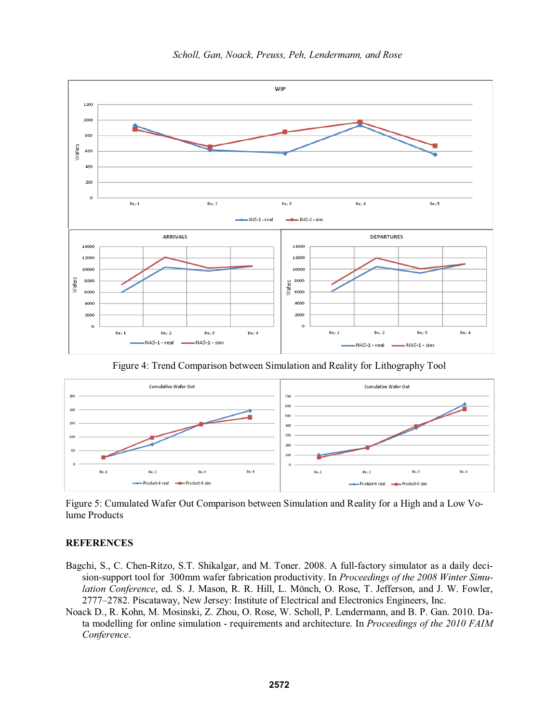

*Scholl, Gan, Noack, Preuss, Peh, Lendermann, and Rose* 

Figure 4: Trend Comparison between Simulation and Reality for Lithography Tool



Figure 5: Cumulated Wafer Out Comparison between Simulation and Reality for a High and a Low Volume Products

### **REFERENCES**

- Bagchi, S., C. Chen-Ritzo, S.T. Shikalgar, and M. Toner. 2008. A full-factory simulator as a daily decision-support tool for 300mm wafer fabrication productivity. In *Proceedings of the 2008 Winter Simulation Conference*, ed. S. J. Mason, R. R. Hill, L. Mönch, O. Rose, T. Jefferson, and J. W. Fowler, 2777-2782. Piscataway, New Jersey: Institute of Electrical and Electronics Engineers, Inc.
- Noack D., R. Kohn, M. Mosinski, Z. Zhou, O. Rose, W. Scholl, P. Lendermann, and B. P. Gan. 2010. Data modelling for online simulation - requirements and architecture. In *Proceedings of the 2010 FAIM Conference*.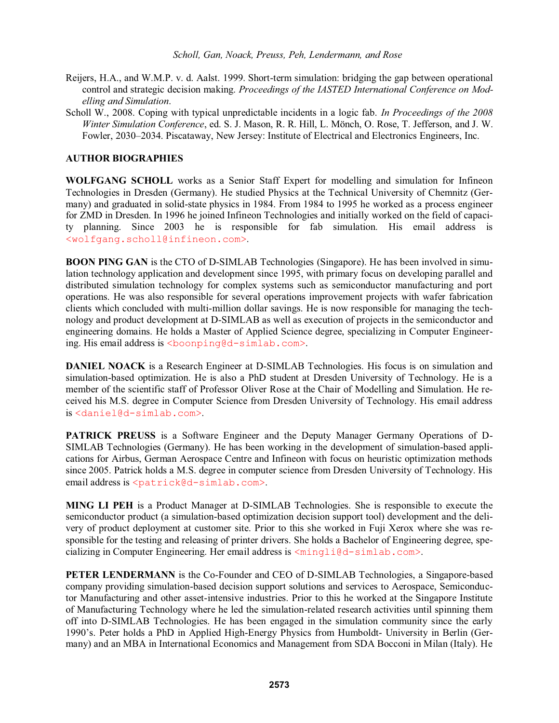- Reijers, H.A., and W.M.P. v. d. Aalst. 1999. Short-term simulation: bridging the gap between operational control and strategic decision making. *Proceedings of the IASTED International Conference on Modelling and Simulation*.
- Scholl W., 2008. Coping with typical unpredictable incidents in a logic fab. *In Proceedings of the 2008 Winter Simulation Conference*, ed. S. J. Mason, R. R. Hill, L. Mönch, O. Rose, T. Jefferson, and J. W. Fowler, 2030–2034. Piscataway, New Jersey: Institute of Electrical and Electronics Engineers, Inc.

### **AUTHOR BIOGRAPHIES**

**WOLFGANG SCHOLL** works as a Senior Staff Expert for modelling and simulation for Infineon Technologies in Dresden (Germany). He studied Physics at the Technical University of Chemnitz (Germany) and graduated in solid-state physics in 1984. From 1984 to 1995 he worked as a process engineer for ZMD in Dresden. In 1996 he joined Infineon Technologies and initially worked on the field of capacity planning. Since 2003 he is responsible for fab simulation. His email address is <wolfgang.scholl@infineon.com>.

**BOON PING GAN** is the CTO of D-SIMLAB Technologies (Singapore). He has been involved in simulation technology application and development since 1995, with primary focus on developing parallel and distributed simulation technology for complex systems such as semiconductor manufacturing and port operations. He was also responsible for several operations improvement projects with wafer fabrication clients which concluded with multi-million dollar savings. He is now responsible for managing the technology and product development at D-SIMLAB as well as execution of projects in the semiconductor and engineering domains. He holds a Master of Applied Science degree, specializing in Computer Engineering. His email address is <boonping@d-simlab.com>.

**DANIEL NOACK** is a Research Engineer at D-SIMLAB Technologies. His focus is on simulation and simulation-based optimization. He is also a PhD student at Dresden University of Technology. He is a member of the scientific staff of Professor Oliver Rose at the Chair of Modelling and Simulation. He received his M.S. degree in Computer Science from Dresden University of Technology. His email address is <daniel@d-simlab.com>.

**PATRICK PREUSS** is a Software Engineer and the Deputy Manager Germany Operations of D-SIMLAB Technologies (Germany). He has been working in the development of simulation-based applications for Airbus, German Aerospace Centre and Infineon with focus on heuristic optimization methods since 2005. Patrick holds a M.S. degree in computer science from Dresden University of Technology. His email address is <patrick@d-simlab.com>.

**MING LI PEH** is a Product Manager at D-SIMLAB Technologies. She is responsible to execute the semiconductor product (a simulation-based optimization decision support tool) development and the delivery of product deployment at customer site. Prior to this she worked in Fuji Xerox where she was responsible for the testing and releasing of printer drivers. She holds a Bachelor of Engineering degree, specializing in Computer Engineering. Her email address is  $\langle$ mingli@d-simlab.com>.

**PETER LENDERMANN** is the Co-Founder and CEO of D-SIMLAB Technologies, a Singapore-based company providing simulation-based decision support solutions and services to Aerospace, Semiconductor Manufacturing and other asset-intensive industries. Prior to this he worked at the Singapore Institute of Manufacturing Technology where he led the simulation-related research activities until spinning them off into D-SIMLAB Technologies. He has been engaged in the simulation community since the early 1990's. Peter holds a PhD in Applied High-Energy Physics from Humboldt- University in Berlin (Germany) and an MBA in International Economics and Management from SDA Bocconi in Milan (Italy). He